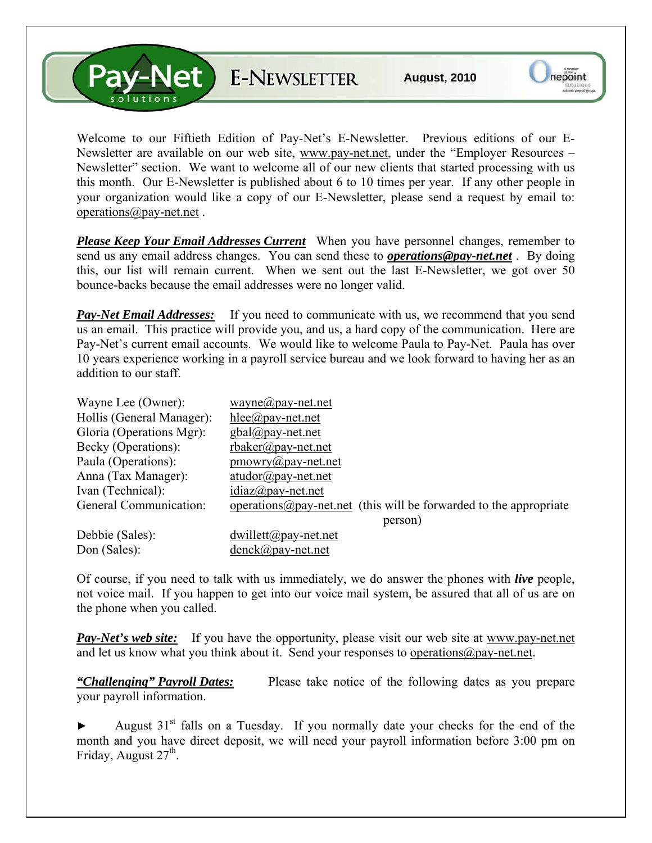V-Net E-NEWSLETTER

Welcome to our Fiftieth Edition of Pay-Net's E-Newsletter. Previous editions of our E-Newsletter are available on our web site, [www.pay-net.net](http://www.pay-net.net/), under the "Employer Resources – Newsletter" section. We want to welcome all of our new clients that started processing with us this month. Our E-Newsletter is published about 6 to 10 times per year. If any other people in your organization would like a copy of our E-Newsletter, please send a request by email to: [operations@pay-net.net](mailto:operations@pay-net.net) .

*Please Keep Your Email Addresses Current* When you have personnel changes, remember to send us any email address changes. You can send these to *[operations@pay-net.net](mailto:operations@pay-net.net)* . By doing this, our list will remain current. When we sent out the last E-Newsletter, we got over 50 bounce-backs because the email addresses were no longer valid.

**Pay-Net Email Addresses:** If you need to communicate with us, we recommend that you send us an email. This practice will provide you, and us, a hard copy of the communication. Here are Pay-Net's current email accounts. We would like to welcome Paula to Pay-Net. Paula has over 10 years experience working in a payroll service bureau and we look forward to having her as an addition to our staff.

| Wayne Lee (Owner):        | wayne@pay-net.net                                                          |
|---------------------------|----------------------------------------------------------------------------|
| Hollis (General Manager): | hlee@pay-net.net                                                           |
| Gloria (Operations Mgr):  | $gbal(\partial \rho)$ ay-net.net                                           |
| Becky (Operations):       | $r$ baker@pay-net.net                                                      |
| Paula (Operations):       | $\text{p}$ mowry@pay-net.net                                               |
| Anna (Tax Manager):       | $atudor@pay-net.net$                                                       |
| Ivan (Technical):         | $idiaz(\partial p$ ay-net.net                                              |
| General Communication:    | operations $\omega$ pay-net net (this will be forwarded to the appropriate |
|                           | person)                                                                    |
| Debbie (Sales):           | $dwillet(a)$ pay-net.net                                                   |
| Don (Sales):              | $denck@pay-net.net$                                                        |

Of course, if you need to talk with us immediately, we do answer the phones with *live* people, not voice mail. If you happen to get into our voice mail system, be assured that all of us are on the phone when you called.

**Pay-Net's web site:** If you have the opportunity, please visit our web site at www.pay-net.net and let us know what you think about it. Send your responses to [operations@pay-net.net](mailto:website@pay-net.net).

*"Challenging" Payroll Dates:* Please take notice of the following dates as you prepare your payroll information.

August  $31<sup>st</sup>$  falls on a Tuesday. If you normally date your checks for the end of the month and you have direct deposit, we will need your payroll information before 3:00 pm on Friday, August  $27<sup>th</sup>$ .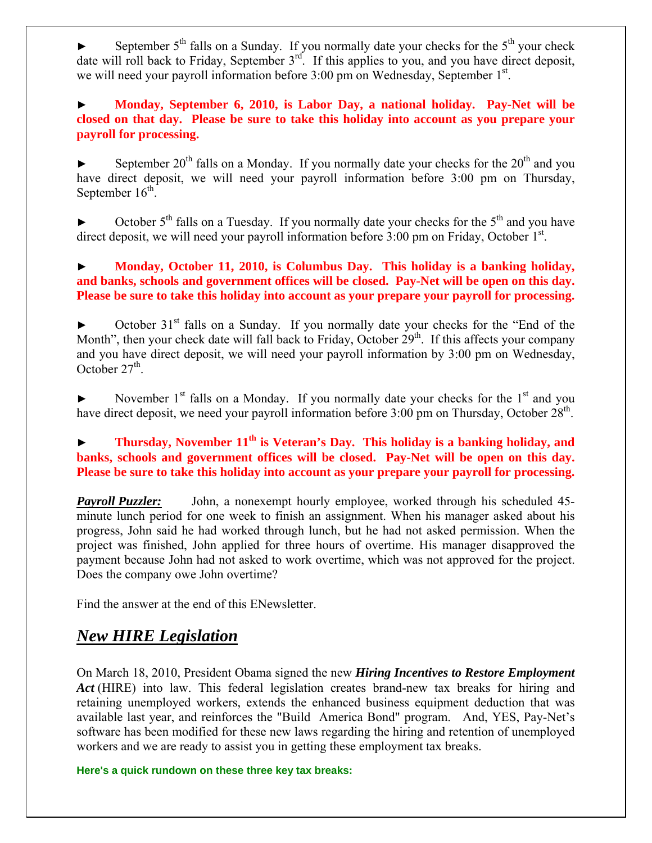September  $5<sup>th</sup>$  falls on a Sunday. If you normally date your checks for the  $5<sup>th</sup>$  your check date will roll back to Friday, September 3<sup>rd</sup>. If this applies to you, and you have direct deposit, we will need your payroll information before 3:00 pm on Wednesday, September 1<sup>st</sup>.

► **Monday, September 6, 2010, is Labor Day, a national holiday. Pay-Net will be closed on that day. Please be sure to take this holiday into account as you prepare your payroll for processing.**

September  $20^{th}$  falls on a Monday. If you normally date your checks for the  $20^{th}$  and you have direct deposit, we will need your payroll information before 3:00 pm on Thursday, September  $16^{th}$ .

October  $5<sup>th</sup>$  falls on a Tuesday. If you normally date your checks for the  $5<sup>th</sup>$  and you have direct deposit, we will need your payroll information before 3:00 pm on Friday, October 1<sup>st</sup>.

► **Monday, October 11, 2010, is Columbus Day. This holiday is a banking holiday, and banks, schools and government offices will be closed. Pay-Net will be open on this day. Please be sure to take this holiday into account as your prepare your payroll for processing.** 

October  $31<sup>st</sup>$  falls on a Sunday. If you normally date your checks for the "End of the Month", then your check date will fall back to Friday, October  $29<sup>th</sup>$ . If this affects your company and you have direct deposit, we will need your payroll information by 3:00 pm on Wednesday, October  $27<sup>th</sup>$ .

November  $1<sup>st</sup>$  falls on a Monday. If you normally date your checks for the  $1<sup>st</sup>$  and you have direct deposit, we need your payroll information before 3:00 pm on Thursday, October 28<sup>th</sup>.

#### Thursday, November 11<sup>th</sup> is Veteran's Day. This holiday is a banking holiday, and **banks, schools and government offices will be closed. Pay-Net will be open on this day. Please be sure to take this holiday into account as your prepare your payroll for processing.**

*Payroll Puzzler:* John, a nonexempt hourly employee, worked through his scheduled 45 minute lunch period for one week to finish an assignment. When his manager asked about his progress, John said he had worked through lunch, but he had not asked permission. When the project was finished, John applied for three hours of overtime. His manager disapproved the payment because John had not asked to work overtime, which was not approved for the project. Does the company owe John overtime?

Find the answer at the end of this ENewsletter.

## *New HIRE Legislation*

On March 18, 2010, President Obama signed the new *Hiring Incentives to Restore Employment Act* (HIRE) into law. This federal legislation creates brand-new tax breaks for hiring and retaining unemployed workers, extends the enhanced business equipment deduction that was available last year, and reinforces the "Build America Bond" program. And, YES, Pay-Net's software has been modified for these new laws regarding the hiring and retention of unemployed workers and we are ready to assist you in getting these employment tax breaks.

**Here's a quick rundown on these three key tax breaks:**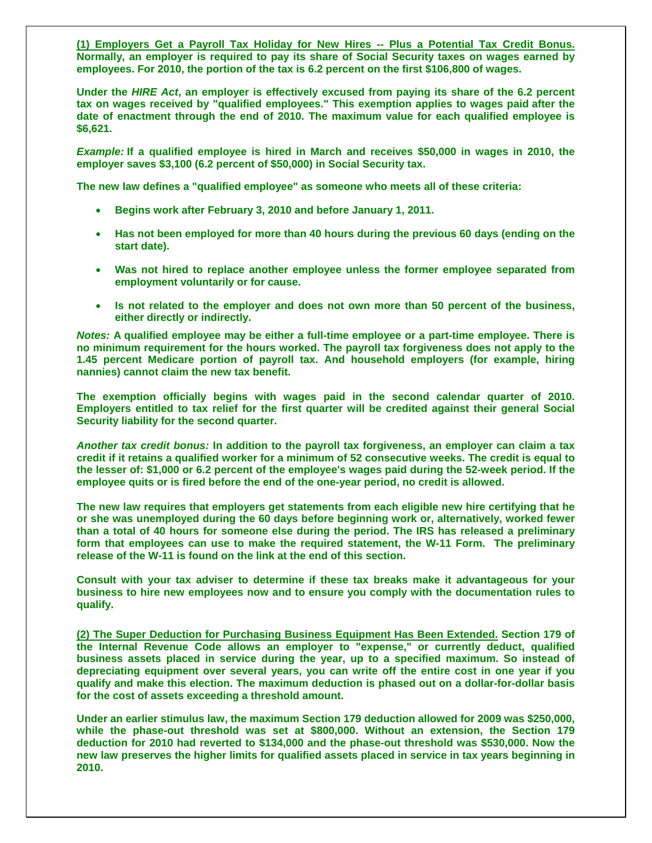**(1) Employers Get a Payroll Tax Holiday for New Hires -- Plus a Potential Tax Credit Bonus. Normally, an employer is required to pay its share of Social Security taxes on wages earned by employees. For 2010, the portion of the tax is 6.2 percent on the first \$106,800 of wages.** 

**Under the** *HIRE Act***, an employer is effectively excused from paying its share of the 6.2 percent tax on wages received by "qualified employees." This exemption applies to wages paid after the date of enactment through the end of 2010. The maximum value for each qualified employee is \$6,621.** 

*Example:* **If a qualified employee is hired in March and receives \$50,000 in wages in 2010, the employer saves \$3,100 (6.2 percent of \$50,000) in Social Security tax.** 

**The new law defines a "qualified employee" as someone who meets all of these criteria:** 

- **Begins work after February 3, 2010 and before January 1, 2011.**
- **Has not been employed for more than 40 hours during the previous 60 days (ending on the start date).**
- **Was not hired to replace another employee unless the former employee separated from employment voluntarily or for cause.**
- **Is not related to the employer and does not own more than 50 percent of the business, either directly or indirectly.**

*Notes:* **A qualified employee may be either a full-time employee or a part-time employee. There is no minimum requirement for the hours worked. The payroll tax forgiveness does not apply to the 1.45 percent Medicare portion of payroll tax. And household employers (for example, hiring nannies) cannot claim the new tax benefit.** 

**The exemption officially begins with wages paid in the second calendar quarter of 2010. Employers entitled to tax relief for the first quarter will be credited against their general Social Security liability for the second quarter.** 

*Another tax credit bonus:* **In addition to the payroll tax forgiveness, an employer can claim a tax credit if it retains a qualified worker for a minimum of 52 consecutive weeks. The credit is equal to the lesser of: \$1,000 or 6.2 percent of the employee's wages paid during the 52-week period. If the employee quits or is fired before the end of the one-year period, no credit is allowed.** 

**The new law requires that employers get statements from each eligible new hire certifying that he or she was unemployed during the 60 days before beginning work or, alternatively, worked fewer than a total of 40 hours for someone else during the period. The IRS has released a preliminary form that employees can use to make the required statement, the W-11 Form. The preliminary release of the W-11 is found on the link at the end of this section.** 

**Consult with your tax adviser to determine if these tax breaks make it advantageous for your business to hire new employees now and to ensure you comply with the documentation rules to qualify.** 

**(2) The Super Deduction for Purchasing Business Equipment Has Been Extended. Section 179 of the Internal Revenue Code allows an employer to "expense," or currently deduct, qualified business assets placed in service during the year, up to a specified maximum. So instead of depreciating equipment over several years, you can write off the entire cost in one year if you qualify and make this election. The maximum deduction is phased out on a dollar-for-dollar basis for the cost of assets exceeding a threshold amount.** 

**Under an earlier stimulus law, the maximum Section 179 deduction allowed for 2009 was \$250,000, while the phase-out threshold was set at \$800,000. Without an extension, the Section 179 deduction for 2010 had reverted to \$134,000 and the phase-out threshold was \$530,000. Now the new law preserves the higher limits for qualified assets placed in service in tax years beginning in 2010.**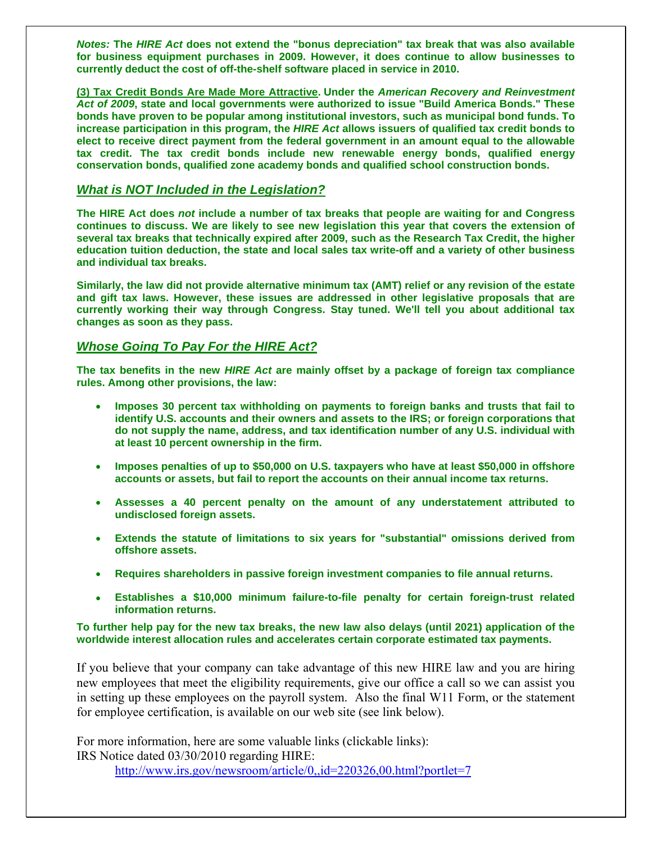*Notes:* **The** *HIRE Act* **does not extend the "bonus depreciation" tax break that was also available for business equipment purchases in 2009. However, it does continue to allow businesses to currently deduct the cost of off-the-shelf software placed in service in 2010.** 

**(3) Tax Credit Bonds Are Made More Attractive. Under the** *American Recovery and Reinvestment Act of 2009***, state and local governments were authorized to issue "Build America Bonds." These bonds have proven to be popular among institutional investors, such as municipal bond funds. To increase participation in this program, the** *HIRE Act* **allows issuers of qualified tax credit bonds to elect to receive direct payment from the federal government in an amount equal to the allowable tax credit. The tax credit bonds include new renewable energy bonds, qualified energy conservation bonds, qualified zone academy bonds and qualified school construction bonds.** 

#### *What is NOT Included in the Legislation?*

**The HIRE Act does** *not* **include a number of tax breaks that people are waiting for and Congress continues to discuss. We are likely to see new legislation this year that covers the extension of several tax breaks that technically expired after 2009, such as the Research Tax Credit, the higher education tuition deduction, the state and local sales tax write-off and a variety of other business and individual tax breaks.** 

**Similarly, the law did not provide alternative minimum tax (AMT) relief or any revision of the estate and gift tax laws. However, these issues are addressed in other legislative proposals that are currently working their way through Congress. Stay tuned. We'll tell you about additional tax changes as soon as they pass.** 

#### *Whose Going To Pay For the HIRE Act?*

**The tax benefits in the new** *HIRE Act* **are mainly offset by a package of foreign tax compliance rules. Among other provisions, the law:** 

- **Imposes 30 percent tax withholding on payments to foreign banks and trusts that fail to identify U.S. accounts and their owners and assets to the IRS; or foreign corporations that do not supply the name, address, and tax identification number of any U.S. individual with at least 10 percent ownership in the firm.**
- **Imposes penalties of up to \$50,000 on U.S. taxpayers who have at least \$50,000 in offshore accounts or assets, but fail to report the accounts on their annual income tax returns.**
- **Assesses a 40 percent penalty on the amount of any understatement attributed to undisclosed foreign assets.**
- **Extends the statute of limitations to six years for "substantial" omissions derived from offshore assets.**
- **Requires shareholders in passive foreign investment companies to file annual returns.**
- **Establishes a \$10,000 minimum failure-to-file penalty for certain foreign-trust related information returns.**

**To further help pay for the new tax breaks, the new law also delays (until 2021) application of the worldwide interest allocation rules and accelerates certain corporate estimated tax payments.** 

If you believe that your company can take advantage of this new HIRE law and you are hiring new employees that meet the eligibility requirements, give our office a call so we can assist you in setting up these employees on the payroll system. Also the final W11 Form, or the statement for employee certification, is available on our web site (see link below).

For more information, here are some valuable links (clickable links): IRS Notice dated 03/30/2010 regarding HIRE:

<http://www.irs.gov/newsroom/article/0,,id=220326,00.html?portlet=7>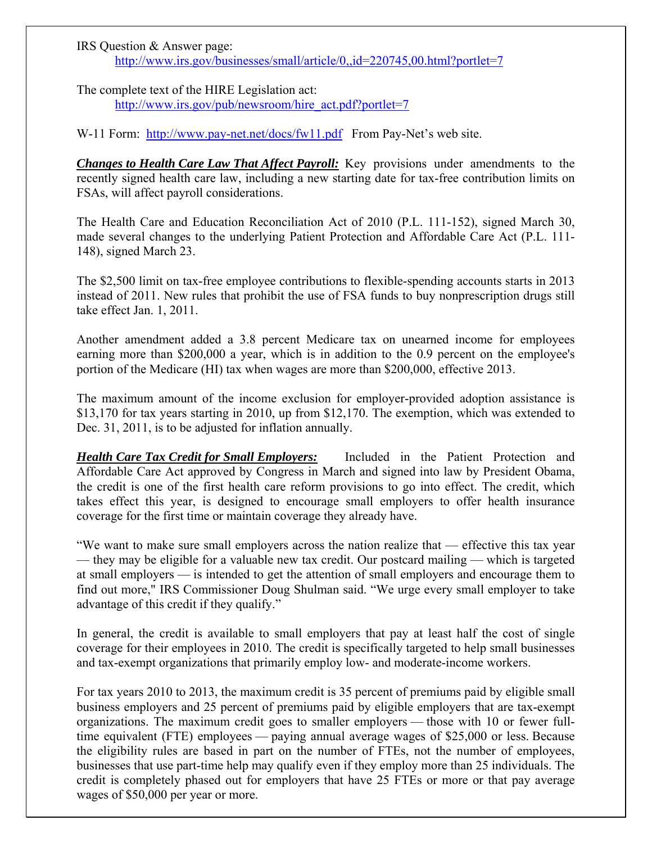IRS Question & Answer page: <http://www.irs.gov/businesses/small/article/0,,id=220745,00.html?portlet=7>

The complete text of the HIRE Legislation act: [http://www.irs.gov/pub/newsroom/hire\\_act.pdf?portlet=7](http://www.irs.gov/pub/newsroom/hire_act.pdf?portlet=7)

W-11 Form: <http://www.pay-net.net/docs/fw11.pdf> From Pay-Net's web site.

*Changes to Health Care Law That Affect Payroll:* Key provisions under amendments to the recently signed health care law, including a new starting date for tax-free contribution limits on FSAs, will affect payroll considerations.

The Health Care and Education Reconciliation Act of 2010 (P.L. 111-152), signed March 30, made several changes to the underlying Patient Protection and Affordable Care Act (P.L. 111- 148), signed March 23.

The \$2,500 limit on tax-free employee contributions to flexible-spending accounts starts in 2013 instead of 2011. New rules that prohibit the use of FSA funds to buy nonprescription drugs still take effect Jan. 1, 2011.

Another amendment added a 3.8 percent Medicare tax on unearned income for employees earning more than \$200,000 a year, which is in addition to the 0.9 percent on the employee's portion of the Medicare (HI) tax when wages are more than \$200,000, effective 2013.

The maximum amount of the income exclusion for employer-provided adoption assistance is \$13,170 for tax years starting in 2010, up from \$12,170. The exemption, which was extended to Dec. 31, 2011, is to be adjusted for inflation annually.

*Health Care Tax Credit for Small Employers:* Included in the Patient Protection and Affordable Care Act approved by Congress in March and signed into law by President Obama, the credit is one of the first health care reform provisions to go into effect. The credit, which takes effect this year, is designed to encourage small employers to offer health insurance coverage for the first time or maintain coverage they already have.

"We want to make sure small employers across the nation realize that — effective this tax year — they may be eligible for a valuable new tax credit. Our postcard mailing — which is targeted at small employers — is intended to get the attention of small employers and encourage them to find out more," IRS Commissioner Doug Shulman said. "We urge every small employer to take advantage of this credit if they qualify."

In general, the credit is available to small employers that pay at least half the cost of single coverage for their employees in 2010. The credit is specifically targeted to help small businesses and tax-exempt organizations that primarily employ low- and moderate-income workers.

For tax years 2010 to 2013, the maximum credit is 35 percent of premiums paid by eligible small business employers and 25 percent of premiums paid by eligible employers that are tax-exempt organizations. The maximum credit goes to smaller employers — those with 10 or fewer fulltime equivalent (FTE) employees — paying annual average wages of \$25,000 or less. Because the eligibility rules are based in part on the number of FTEs, not the number of employees, businesses that use part-time help may qualify even if they employ more than 25 individuals. The credit is completely phased out for employers that have 25 FTEs or more or that pay average wages of \$50,000 per year or more.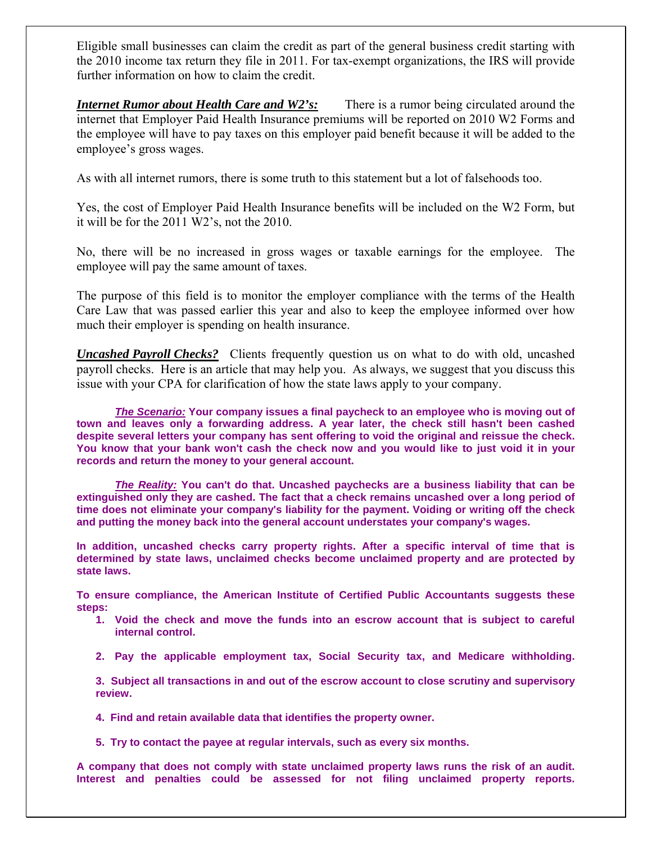Eligible small businesses can claim the credit as part of the general business credit starting with the 2010 income tax return they file in 2011. For tax-exempt organizations, the IRS will provide further information on how to claim the credit.

*Internet Rumor about Health Care and W2's:* There is a rumor being circulated around the internet that Employer Paid Health Insurance premiums will be reported on 2010 W2 Forms and the employee will have to pay taxes on this employer paid benefit because it will be added to the employee's gross wages.

As with all internet rumors, there is some truth to this statement but a lot of falsehoods too.

Yes, the cost of Employer Paid Health Insurance benefits will be included on the W2 Form, but it will be for the 2011 W2's, not the 2010.

No, there will be no increased in gross wages or taxable earnings for the employee. The employee will pay the same amount of taxes.

The purpose of this field is to monitor the employer compliance with the terms of the Health Care Law that was passed earlier this year and also to keep the employee informed over how much their employer is spending on health insurance.

*Uncashed Payroll Checks?* Clients frequently question us on what to do with old, uncashed payroll checks. Here is an article that may help you. As always, we suggest that you discuss this issue with your CPA for clarification of how the state laws apply to your company.

*The Scenario:* **Your company issues a final paycheck to an employee who is moving out of town and leaves only a forwarding address. A year later, the check still hasn't been cashed despite several letters your company has sent offering to void the original and reissue the check. You know that your bank won't cash the check now and you would like to just void it in your records and return the money to your general account.** 

*The Reality:* **You can't do that. Uncashed paychecks are a business liability that can be extinguished only they are cashed. The fact that a check remains uncashed over a long period of time does not eliminate your company's liability for the payment. Voiding or writing off the check and putting the money back into the general account understates your company's wages.** 

**In addition, uncashed checks carry property rights. After a specific interval of time that is determined by state laws, unclaimed checks become unclaimed property and are protected by state laws.** 

**To ensure compliance, the American Institute of Certified Public Accountants suggests these steps:** 

- **1. Void the check and move the funds into an escrow account that is subject to careful internal control.**
- **2. Pay the applicable employment tax, Social Security tax, and Medicare withholding.**

**3. Subject all transactions in and out of the escrow account to close scrutiny and supervisory review.** 

- **4. Find and retain available data that identifies the property owner.**
- **5. Try to contact the payee at regular intervals, such as every six months.**

**A company that does not comply with state unclaimed property laws runs the risk of an audit. Interest and penalties could be assessed for not filing unclaimed property reports.**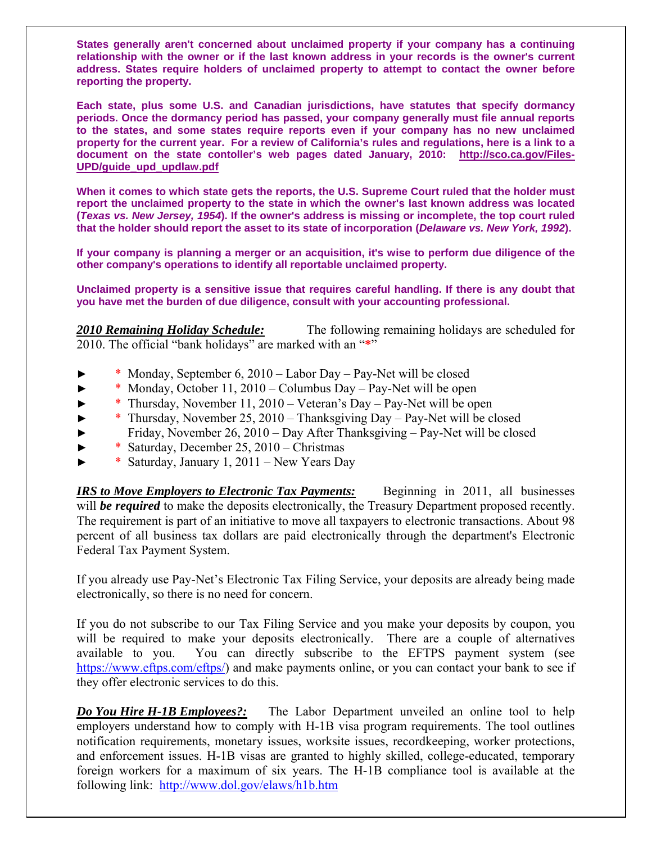**States generally aren't concerned about unclaimed property if your company has a continuing relationship with the owner or if the last known address in your records is the owner's current address. States require holders of unclaimed property to attempt to contact the owner before reporting the property.** 

**Each state, plus some U.S. and Canadian jurisdictions, have statutes that specify dormancy periods. Once the dormancy period has passed, your company generally must file annual reports to the states, and some states require reports even if your company has no new unclaimed property for the current year. For a review of California's rules and regulations, here is a link to a document on the state contoller's web pages dated January, 2010: [http://sco.ca.gov/Files-](http://sco.ca.gov/Files-UPD/guide_upd_updlaw.pdf)[UPD/guide\\_upd\\_updlaw.pdf](http://sco.ca.gov/Files-UPD/guide_upd_updlaw.pdf)**

**When it comes to which state gets the reports, the U.S. Supreme Court ruled that the holder must report the unclaimed property to the state in which the owner's last known address was located (***Texas vs. New Jersey, 1954***). If the owner's address is missing or incomplete, the top court ruled that the holder should report the asset to its state of incorporation (***Delaware vs. New York, 1992***).** 

**If your company is planning a merger or an acquisition, it's wise to perform due diligence of the other company's operations to identify all reportable unclaimed property.** 

**Unclaimed property is a sensitive issue that requires careful handling. If there is any doubt that you have met the burden of due diligence, consult with your accounting professional.**

*2010 Remaining Holiday Schedule:* The following remaining holidays are scheduled for 2010. The official "bank holidays" are marked with an "**\***"

- ► \* Monday, September 6, 2010 Labor Day Pay-Net will be closed
- ► \* Monday, October 11, 2010 Columbus Day Pay-Net will be open
- ► \* Thursday, November 11, 2010 Veteran's Day Pay-Net will be open
- ► \* Thursday, November 25, 2010 Thanksgiving Day Pay-Net will be closed
- ► Friday, November 26, 2010 Day After Thanksgiving Pay-Net will be closed
- ► \* Saturday, December 25, 2010 Christmas
- \* Saturday, January 1, 2011 New Years Day

*IRS to Move Employers to Electronic Tax Payments:* Beginning in 2011, all businesses will **be required** to make the deposits electronically, the Treasury Department proposed recently. The requirement is part of an initiative to move all taxpayers to electronic transactions. About 98 percent of all business tax dollars are paid electronically through the department's Electronic Federal Tax Payment System.

If you already use Pay-Net's Electronic Tax Filing Service, your deposits are already being made electronically, so there is no need for concern.

If you do not subscribe to our Tax Filing Service and you make your deposits by coupon, you will be required to make your deposits electronically. There are a couple of alternatives available to you. You can directly subscribe to the EFTPS payment system (see <https://www.eftps.com/eftps/>) and make payments online, or you can contact your bank to see if they offer electronic services to do this.

*Do You Hire H-1B Employees?:* The Labor Department unveiled an online tool to help employers understand how to comply with H-1B visa program requirements. The tool outlines notification requirements, monetary issues, worksite issues, recordkeeping, worker protections, and enforcement issues. H-1B visas are granted to highly skilled, college-educated, temporary foreign workers for a maximum of six years. The H-1B compliance tool is available at the following link: <http://www.dol.gov/elaws/h1b.htm>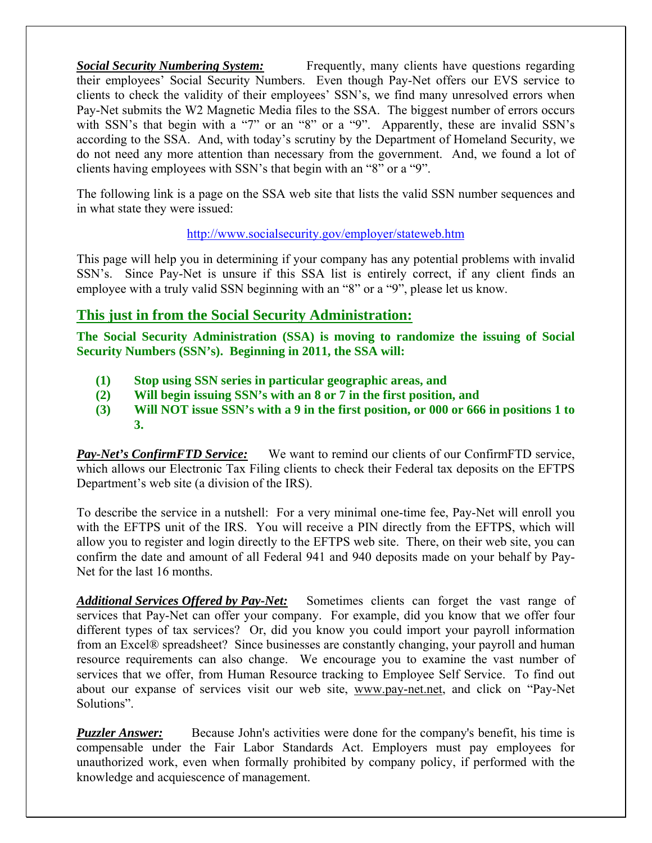*Social Security Numbering System:* Frequently, many clients have questions regarding their employees' Social Security Numbers. Even though Pay-Net offers our EVS service to clients to check the validity of their employees' SSN's, we find many unresolved errors when Pay-Net submits the W2 Magnetic Media files to the SSA. The biggest number of errors occurs with SSN's that begin with a "7" or an "8" or a "9". Apparently, these are invalid SSN's according to the SSA. And, with today's scrutiny by the Department of Homeland Security, we do not need any more attention than necessary from the government. And, we found a lot of clients having employees with SSN's that begin with an "8" or a "9".

The following link is a page on the SSA web site that lists the valid SSN number sequences and in what state they were issued:

#### <http://www.socialsecurity.gov/employer/stateweb.htm>

This page will help you in determining if your company has any potential problems with invalid SSN's. Since Pay-Net is unsure if this SSA list is entirely correct, if any client finds an employee with a truly valid SSN beginning with an "8" or a "9", please let us know.

### **This just in from the Social Security Administration:**

**The Social Security Administration (SSA) is moving to randomize the issuing of Social Security Numbers (SSN's). Beginning in 2011, the SSA will:** 

- **(1) Stop using SSN series in particular geographic areas, and**
- **(2) Will begin issuing SSN's with an 8 or 7 in the first position, and**
- **(3) Will NOT issue SSN's with a 9 in the first position, or 000 or 666 in positions 1 to 3.**

*Pay-Net's ConfirmFTD Service:* We want to remind our clients of our ConfirmFTD service, which allows our Electronic Tax Filing clients to check their Federal tax deposits on the EFTPS Department's web site (a division of the IRS).

To describe the service in a nutshell: For a very minimal one-time fee, Pay-Net will enroll you with the EFTPS unit of the IRS. You will receive a PIN directly from the EFTPS, which will allow you to register and login directly to the EFTPS web site. There, on their web site, you can confirm the date and amount of all Federal 941 and 940 deposits made on your behalf by Pay-Net for the last 16 months.

*Additional Services Offered by Pay-Net:* Sometimes clients can forget the vast range of services that Pay-Net can offer your company. For example, did you know that we offer four different types of tax services? Or, did you know you could import your payroll information from an Excel® spreadsheet? Since businesses are constantly changing, your payroll and human resource requirements can also change. We encourage you to examine the vast number of services that we offer, from Human Resource tracking to Employee Self Service. To find out about our expanse of services visit our web site, [www.pay-net.net,](http://www.pay-net.net/) and click on "Pay-Net Solutions".

*Puzzler Answer:* Because John's activities were done for the company's benefit, his time is compensable under the Fair Labor Standards Act. Employers must pay employees for unauthorized work, even when formally prohibited by company policy, if performed with the knowledge and acquiescence of management.